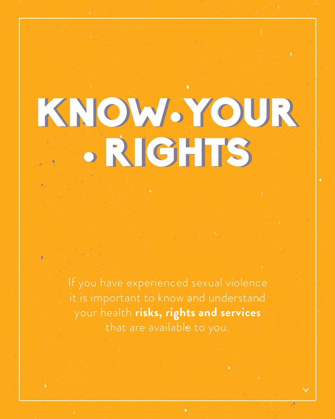

If you have experienced sexual violence it is important to know and understand your health **risks, rights and services** that are available to you.

٠

78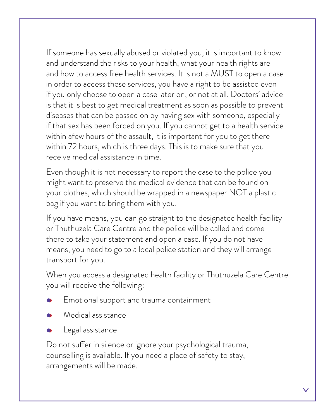If someone has sexually abused or violated you, it is important to know and understand the risks to your health, what your health rights are and how to access free health services. It is not a MUST to open a case in order to access these services, you have a right to be assisted even if you only choose to open a case later on, or not at all. Doctors' advice is that it is best to get medical treatment as soon as possible to prevent diseases that can be passed on by having sex with someone, especially if that sex has been forced on you. If you cannot get to a health service within afew hours of the assault, it is important for you to get there within 72 hours, which is three days. This is to make sure that you receive medical assistance in time.

Do not suffer in silence or ignore your psychological trauma, counselling is available. If you need a place of safety to stay, arrangements will be made.

Even though it is not necessary to report the case to the police you might want to preserve the medical evidence that can be found on your clothes, which should be wrapped in a newspaper NOT a plastic bag if you want to bring them with you.

If you have means, you can go straight to the designated health facility or Thuthuzela Care Centre and the police will be called and come there to take your statement and open a case. If you do not have means, you need to go to a local police station and they will arrange transport for you.

When you access a designated health facility or Thuthuzela Care Centre

you will receive the following:

- Emotional support and trauma containment
- Medical assistance
- Legal assistance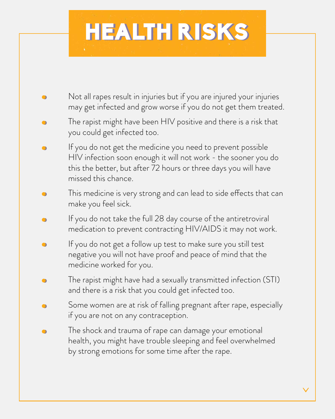# HEALTH RISKS

- Not all rapes result in injuries but if you are injured your injuries may get infected and grow worse if you do not get them treated.
- The rapist might have been HIV positive and there is a risk that you could get infected too.
- If you do not get the medicine you need to prevent possible  $\bullet$ HIV infection soon enough it will not work - the sooner you do this the better, but after 72 hours or three days you will have missed this chance.
- This medicine is very strong and can lead to side effects that can make you feel sick.
- If you do not take the full 28 day course of the antiretroviral medication to prevent contracting HIV/AIDS it may not work.
- If you do not get a follow up test to make sure you still test  $\bullet$ negative you will not have proof and peace of mind that the medicine worked for you.
- The rapist might have had a sexually transmitted infection (STI) and there is a risk that you could get infected too.
	- Some women are at risk of falling pregnant after rape, especially if you are not on any contraception.
	- The shock and trauma of rape can damage your emotional health, you might have trouble sleeping and feel overwhelmed by strong emotions for some time after the rape.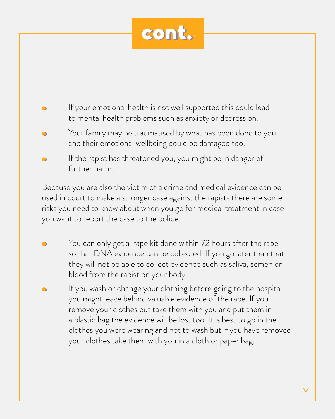

You can only get a rape kit done within 72 hours after the rape so that DNA evidence can be collected. If you go later than that they will not be able to collect evidence such as saliva, semen or blood from the rapist on your body.

If you wash or change your clothing before going to the hospital you might leave behind valuable evidence of the rape. If you remove your clothes but take them with you and put them in a plastic bag the evidence will be lost too. It is best to go in the clothes you were wearing and not to wash but if you have removed your clothes take them with you in a cloth or paper bag.

Because you are also the victim of a crime and medical evidence can be used in court to make a stronger case against the rapists there are some risks you need to know about when you go for medical treatment in case you want to report the case to the police:

### If your emotional health is not well supported this could lead to mental health problems such as anxiety or depression.

- Your family may be traumatised by what has been done to you and their emotional wellbeing could be damaged too.
- If the rapist has threatened you, you might be in danger of further harm.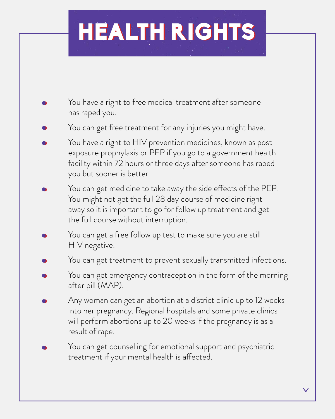# HEALTH RIGHTS

- You have a right to free medical treatment after someone has raped you.
- You can get free treatment for any injuries you might have.
- You have a right to HIV prevention medicines, known as post exposure prophylaxis or PEP if you go to a government health facility within 72 hours or three days after someone has raped you but sooner is better.
- You can get medicine to take away the side effects of the PEP. You might not get the full 28 day course of medicine right away so it is important to go for follow up treatment and get the full course without interruption.
- You can get a free follow up test to make sure you are still HIV negative.
- You can get treatment to prevent sexually transmitted infections.
- You can get emergency contraception in the form of the morning
	- after pill (MAP).
	- Any woman can get an abortion at a district clinic up to 12 weeks into her pregnancy. Regional hospitals and some private clinics will perform abortions up to 20 weeks if the pregnancy is as a result of rape.
- You can get counselling for emotional support and psychiatric treatment if your mental health is affected.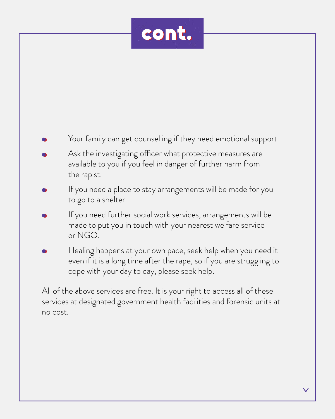## Your family can get counselling if they need emotional support.

- Ask the investigating officer what protective measures are available to you if you feel in danger of further harm from the rapist.
- If you need a place to stay arrangements will be made for you to go to a shelter.
- If you need further social work services, arrangements will be made to put you in touch with your nearest welfare service or NGO.
- Healing happens at your own pace, seek help when you need it even if it is a long time after the rape, so if you are struggling to cope with your day to day, please seek help.

All of the above services are free. It is your right to access all of these services at designated government health facilities and forensic units at no cost.

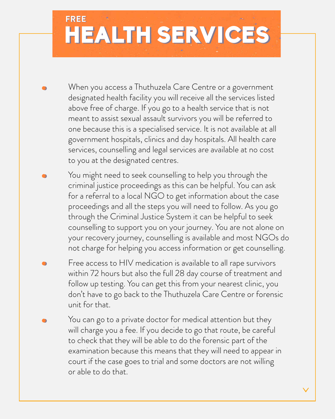- When you access a Thuthuzela Care Centre or a government designated health facility you will receive all the services listed above free of charge. If you go to a health service that is not meant to assist sexual assault survivors you will be referred to one because this is a specialised service. It is not available at all government hospitals, clinics and day hospitals. All health care services, counselling and legal services are available at no cost to you at the designated centres.
- You might need to seek counselling to help you through the criminal justice proceedings as this can be helpful. You can ask for a referral to a local NGO to get information about the case proceedings and all the steps you will need to follow. As you go through the Criminal Justice System it can be helpful to seek counselling to support you on your journey. You are not alone on your recovery journey, counselling is available and most NGOs do not charge for helping you access information or get counselling.
- Free access to HIV medication is available to all rape survivors within 72 hours but also the full 28 day course of treatment and

# HEALTH SERVICES **FREE FREE**

follow up testing. You can get this from your nearest clinic, you don't have to go back to the Thuthuzela Care Centre or forensic unit for that.

You can go to a private doctor for medical attention but they will charge you a fee. If you decide to go that route, be careful to check that they will be able to do the forensic part of the examination because this means that they will need to appear in court if the case goes to trial and some doctors are not willing or able to do that.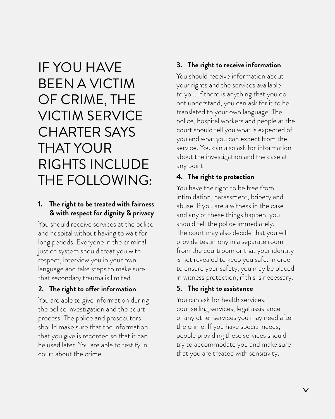IF YOU HAVE BEEN A VICTIM OF CRIME, THE VICTIM SERVICE CHARTER SAYS THAT YOUR RIGHTS INCLUDE THE FOLLOWING:

#### **1. The right to be treated with fairness & with respect for dignity & privacy**

You should receive services at the police and hospital without having to wait for long periods. Everyone in the criminal justice system should treat you with respect, interview you in your own language and take steps to make sure that secondary trauma is limited.

You are able to give information during the police investigation and the court process. The police and prosecutors should make sure that the information that you give is recorded so that it can be used later. You are able to testify in court about the crime.

#### **3. The right to receive information**

You should receive information about your rights and the services available to you. If there is anything that you do not understand, you can ask for it to be translated to your own language. The police, hospital workers and people at the court should tell you what is expected of you and what you can expect from the service. You can also ask for information about the investigation and the case at any point.

#### **4. The right to protection**

You have the right to be free from intimidation, harassment, bribery and abuse. If you are a witness in the case and any of these things happen, you should tell the police immediately. The court may also decide that you will provide testimony in a separate room from the courtroom or that your identity is not revealed to keep you safe. In order to ensure your safety, you may be placed in witness protection, if this is necessary.

#### 2. The right to offer information

#### **5. The right to assistance**

You can ask for health services, counselling services, legal assistance or any other services you may need after the crime. If you have special needs, people providing these services should try to accommodate you and make sure that you are treated with sensitivity.

 $\bm{\vee}$